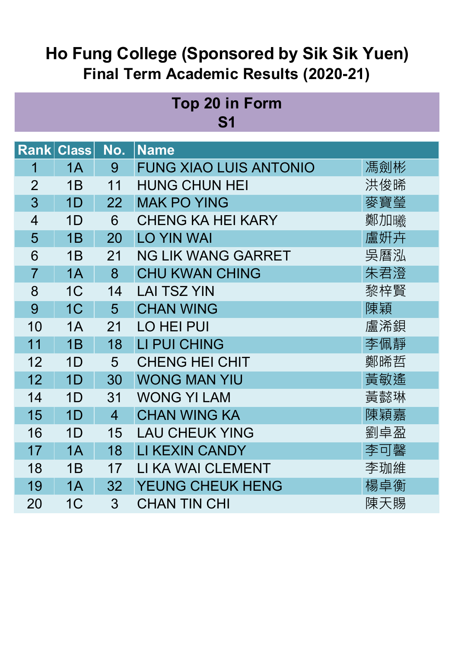#### **Top 20 in Form S1**

| <b>Rank</b>    | <b>Class</b>   | No.            | <b>Name</b>                   |     |
|----------------|----------------|----------------|-------------------------------|-----|
| 1              | 1A             | 9              | <b>FUNG XIAO LUIS ANTONIO</b> | 馮劍彬 |
| $\overline{2}$ | 1B             | 11             | <b>HUNG CHUN HEI</b>          | 洪俊晞 |
| 3              | 1D             | 22             | <b>MAK PO YING</b>            | 麥寶瑩 |
| $\overline{4}$ | 1D             | 6              | <b>CHENG KA HEI KARY</b>      | 鄭加曦 |
| 5              | 1B             | 20             | <b>LO YIN WAI</b>             | 盧姸卉 |
| 6              | 1B             | 21             | <b>NG LIK WANG GARRET</b>     | 吳曆泓 |
| $\overline{7}$ | 1A             | 8              | <b>CHU KWAN CHING</b>         | 朱君澄 |
| 8              | 1 <sup>C</sup> | 14             | <b>LAI TSZ YIN</b>            | 黎梓賢 |
| 9              | 1 <sup>C</sup> | 5              | <b>CHAN WING</b>              | 陳穎  |
| 10             | 1A             | 21             | <b>LO HEI PUI</b>             | 盧浠鋇 |
| 11             | 1B             | 18             | LI PUI CHING                  | 李佩靜 |
| 12             | 1D             | 5              | <b>CHENG HEI CHIT</b>         | 鄭晞哲 |
| 12             | 1D             | 30             | <b>WONG MAN YIU</b>           | 黃敏遙 |
| 14             | 1D             | 31             | <b>WONG YI LAM</b>            | 黃懿琳 |
| 15             | 1D             | $\overline{4}$ | <b>CHAN WING KA</b>           | 陳穎嘉 |
| 16             | 1D             | 15             | <b>LAU CHEUK YING</b>         | 劉卓盈 |
| 17             | 1A             | 18             | <b>LI KEXIN CANDY</b>         | 李可馨 |
| 18             | 1B             | 17             | LI KA WAI CLEMENT             | 李珈維 |
| 19             | 1A             | 32             | YEUNG CHEUK HENG              | 楊卓衡 |
| 20             | 1 <sup>C</sup> | $\overline{3}$ | <b>CHAN TIN CHI</b>           | 陳天賜 |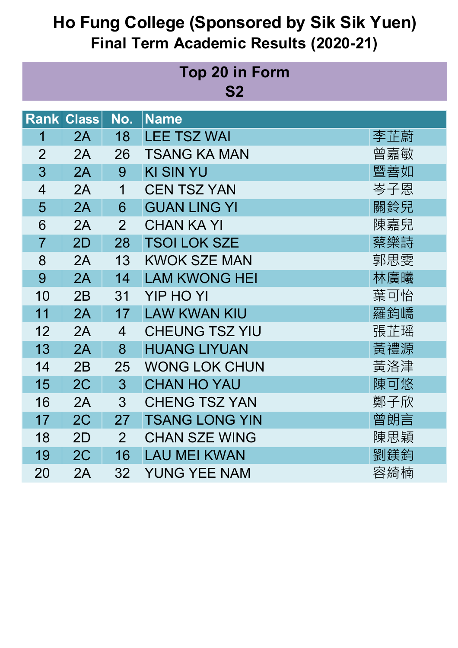| <b>Top 20 in Form</b><br>S <sub>2</sub> |                   |                |                       |     |
|-----------------------------------------|-------------------|----------------|-----------------------|-----|
|                                         | <b>Rank Class</b> | No.            | <b>Name</b>           |     |
| 1                                       | 2A                | 18             | <b>LEE TSZ WAI</b>    | 李芷蔚 |
| $\overline{2}$                          | 2A                | 26             | <b>TSANG KA MAN</b>   | 曾嘉敏 |
| 3                                       | 2A                | 9              | <b>KI SIN YU</b>      | 暨善如 |
| $\overline{4}$                          | 2A                | 1              | <b>CEN TSZ YAN</b>    | 岑子恩 |
| 5                                       | 2A                | 6              | <b>GUAN LING YI</b>   | 關鈴兒 |
| 6                                       | 2A                | $\overline{2}$ | <b>CHAN KA YI</b>     | 陳嘉兒 |
| $\overline{7}$                          | 2D                | 28             | <b>TSOI LOK SZE</b>   | 蔡樂詩 |
| 8                                       | 2A                | 13             | <b>KWOK SZE MAN</b>   | 郭思雯 |
| 9                                       | 2A                | 14             | <b>LAM KWONG HEI</b>  | 林廣曦 |
| 10                                      | 2B                | 31             | <b>YIP HO YI</b>      | 葉可怡 |
| 11                                      | 2A                | 17             | <b>LAW KWAN KIU</b>   | 羅鈞嶠 |
| 12                                      | 2A                | $\overline{4}$ | <b>CHEUNG TSZ YIU</b> | 張芷瑶 |
| 13                                      | 2A                | 8              | <b>HUANG LIYUAN</b>   | 黃禮源 |
| 14                                      | 2B                | 25             | <b>WONG LOK CHUN</b>  | 黃洛津 |
| 15                                      | 2C                | 3 <sup>1</sup> | <b>CHAN HO YAU</b>    | 陳可悠 |
| 16                                      | 2A                | 3              | <b>CHENG TSZ YAN</b>  | 鄭子欣 |
| 17                                      | 2C                | 27             | <b>TSANG LONG YIN</b> | 曾朗言 |
| 18                                      | 2D                | 2 <sup>1</sup> | <b>CHAN SZE WING</b>  | 陳思穎 |
| 19                                      | 2C                | 16             | <b>LAU MEI KWAN</b>   | 劉鎂鈞 |
| 20                                      | 2A                | 32             | <b>YUNG YEE NAM</b>   | 容綺楠 |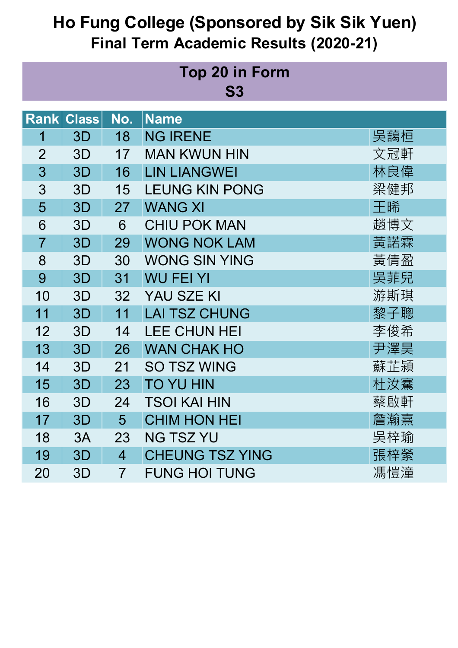| <b>Top 20 in Form</b><br>S <sub>3</sub> |                   |                |                        |     |
|-----------------------------------------|-------------------|----------------|------------------------|-----|
|                                         | <b>Rank Class</b> | No.            | <b>Name</b>            |     |
| 1                                       | 3D                | 18             | <b>NG IRENE</b>        | 吳藹桓 |
| $\overline{2}$                          | 3D                | 17             | <b>MAN KWUN HIN</b>    | 文冠軒 |
| 3                                       | 3D                | 16             | <b>LIN LIANGWEI</b>    | 林良偉 |
| 3                                       | 3D                | 15             | <b>LEUNG KIN PONG</b>  | 梁健邦 |
| 5                                       | 3D                | 27             | <b>WANG XI</b>         | 王晞  |
| 6                                       | 3D                | 6              | <b>CHIU POK MAN</b>    | 趙博文 |
| $\overline{7}$                          | 3D                | 29             | <b>WONG NOK LAM</b>    | 黃諾霖 |
| 8                                       | 3D                | 30             | <b>WONG SIN YING</b>   | 黃倩盈 |
| 9                                       | 3D                | 31             | <b>WU FEI YI</b>       | 吳菲兒 |
| 10                                      | 3D                | 32             | YAU SZE KI             | 游斯琪 |
| 11                                      | 3D                | 11             | <b>LAI TSZ CHUNG</b>   | 黎子聰 |
| 12                                      | 3D                | 14             | <b>LEE CHUN HEI</b>    | 李俊希 |
| 13                                      | 3D                | 26             | <b>WAN CHAK HO</b>     | 尹澤昊 |
| 14                                      | 3D                | 21             | <b>SO TSZ WING</b>     | 蘇芷潁 |
| 15                                      | 3D                | 23             | <b>TO YU HIN</b>       | 杜汝騫 |
| 16                                      | 3D                | 24             | <b>TSOI KAI HIN</b>    | 蔡啟軒 |
| 17                                      | 3D                | 5              | <b>CHIM HON HEI</b>    | 詹瀚熹 |
| 18                                      | 3A                | 23             | <b>NG TSZ YU</b>       | 吳梓瑜 |
| 19                                      | 3D                | $\overline{4}$ | <b>CHEUNG TSZ YING</b> | 張梓縈 |
| 20                                      | 3D                | $\overline{7}$ | <b>FUNG HOI TUNG</b>   | 馮愷潼 |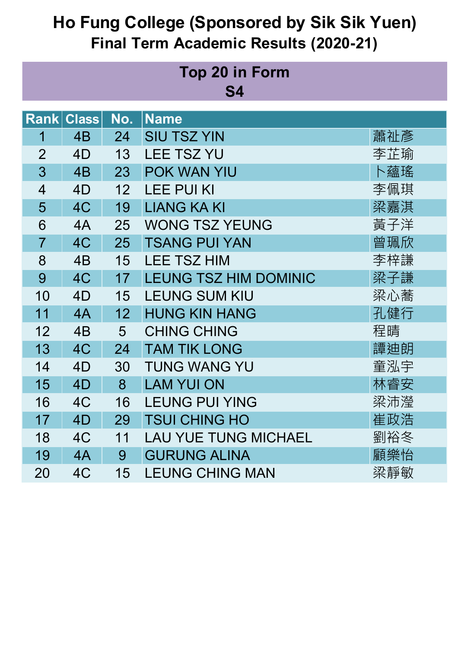| <b>Top 20 in Form</b><br>S4 |                   |                 |                              |     |
|-----------------------------|-------------------|-----------------|------------------------------|-----|
|                             | <b>Rank Class</b> | No.             | <b>Name</b>                  |     |
| 1                           | 4B                | 24              | <b>SIU TSZ YIN</b>           | 蕭祉彥 |
| $\overline{2}$              | 4D                | 13              | <b>LEE TSZ YU</b>            | 李芷瑜 |
| 3                           | 4B                | 23              | POK WAN YIU                  | 卜蘊瑤 |
| $\overline{4}$              | 4D                | 12              | <b>LEE PUI KI</b>            | 李佩琪 |
| 5                           | 4C                | 19              | <b>LIANG KA KI</b>           | 梁嘉淇 |
| 6                           | 4A                | 25              | <b>WONG TSZ YEUNG</b>        | 黃子洋 |
| $\overline{7}$              | 4C                | 25              | <b>TSANG PUI YAN</b>         | 曾珮欣 |
| 8                           | 4 <sub>B</sub>    | 15              | <b>LEE TSZ HIM</b>           | 李梓謙 |
| 9                           | 4C                | 17              | <b>LEUNG TSZ HIM DOMINIC</b> | 梁子謙 |
| 10                          | 4D                | 15              | <b>LEUNG SUM KIU</b>         | 梁心蕎 |
| 11                          | 4A                | 12 <sub>2</sub> | <b>HUNG KIN HANG</b>         | 孔健行 |
| 12                          | 4 <sub>B</sub>    | 5               | <b>CHING CHING</b>           | 程晴  |
| 13                          | 4C                | 24              | <b>TAM TIK LONG</b>          | 譚迪朗 |
| 14                          | 4D                | 30              | <b>TUNG WANG YU</b>          | 童泓宇 |
| 15                          | 4D                | 8               | <b>LAM YUI ON</b>            | 林睿安 |
| 16                          | 4C                | 16              | <b>LEUNG PUI YING</b>        | 梁沛瀅 |
| 17                          | 4D                | 29              | <b>TSUI CHING HO</b>         | 崔政浩 |
| 18                          | 4C                | 11              | <b>LAU YUE TUNG MICHAEL</b>  | 劉裕冬 |
| 19                          | 4A                | 9               | <b>GURUNG ALINA</b>          | 顧樂怡 |
| 20                          | 4C                | 15              | <b>LEUNG CHING MAN</b>       | 梁靜敏 |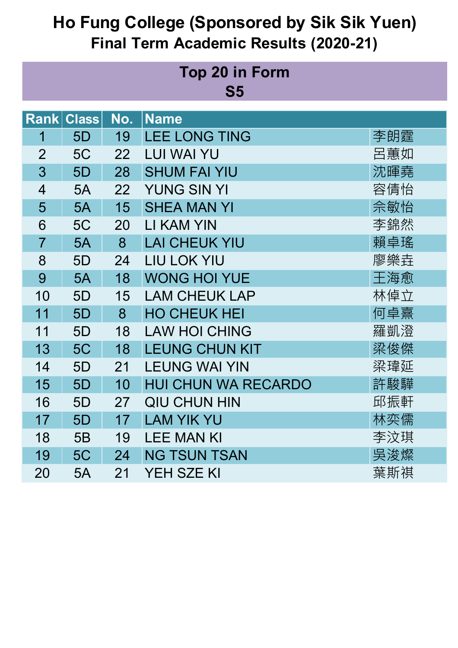| <b>Top 20 in Form</b><br>S <sub>5</sub> |                |                   |     |                            |     |
|-----------------------------------------|----------------|-------------------|-----|----------------------------|-----|
|                                         |                | <b>Rank Class</b> | No. | <b>Name</b>                |     |
|                                         | 1              | 5D                | 19  | <b>LEE LONG TING</b>       | 李朗霆 |
|                                         | $\overline{2}$ | 5C                | 22  | <b>LUI WAI YU</b>          | 呂蕙如 |
|                                         | 3              | 5D                | 28  | <b>SHUM FAI YIU</b>        | 沈暉堯 |
|                                         | 4              | 5A                | 22  | <b>YUNG SIN YI</b>         | 容倩怡 |
|                                         | 5              | 5A                | 15  | <b>SHEA MAN YI</b>         | 佘敏怡 |
|                                         | 6              | 5C                | 20  | <b>LI KAM YIN</b>          | 李錦然 |
|                                         | $\overline{7}$ | 5A                | 8   | <b>LAI CHEUK YIU</b>       | 賴卓瑤 |
|                                         | 8              | 5D                | 24  | <b>LIU LOK YIU</b>         | 廖樂垚 |
|                                         | 9              | 5A                | 18  | <b>WONG HOI YUE</b>        | 王海愈 |
|                                         | 10             | 5D                | 15  | <b>LAM CHEUK LAP</b>       | 林倬立 |
|                                         | 11             | 5D                | 8   | <b>HO CHEUK HEI</b>        | 何卓熹 |
|                                         | 11             | 5D                | 18  | <b>LAW HOI CHING</b>       | 羅凱澄 |
|                                         | 13             | 5C                | 18  | <b>LEUNG CHUN KIT</b>      | 梁俊傑 |
|                                         | 14             | 5D                | 21  | <b>LEUNG WAI YIN</b>       | 梁瑋延 |
|                                         | 15             | 5D                | 10  | <b>HUI CHUN WA RECARDO</b> | 許駿驊 |
|                                         | 16             | 5D                | 27  | <b>QIU CHUN HIN</b>        | 邱振軒 |
|                                         | 17             | 5D                | 17  | <b>LAM YIK YU</b>          | 林奕儒 |
|                                         | 18             | 5B                | 19  | <b>LEE MAN KI</b>          | 李汶琪 |
|                                         | 19             | 5C                | 24  | <b>NG TSUN TSAN</b>        | 吳浚燦 |
|                                         | 20             | 5A                | 21  | YEH SZE KI                 | 葉斯祺 |